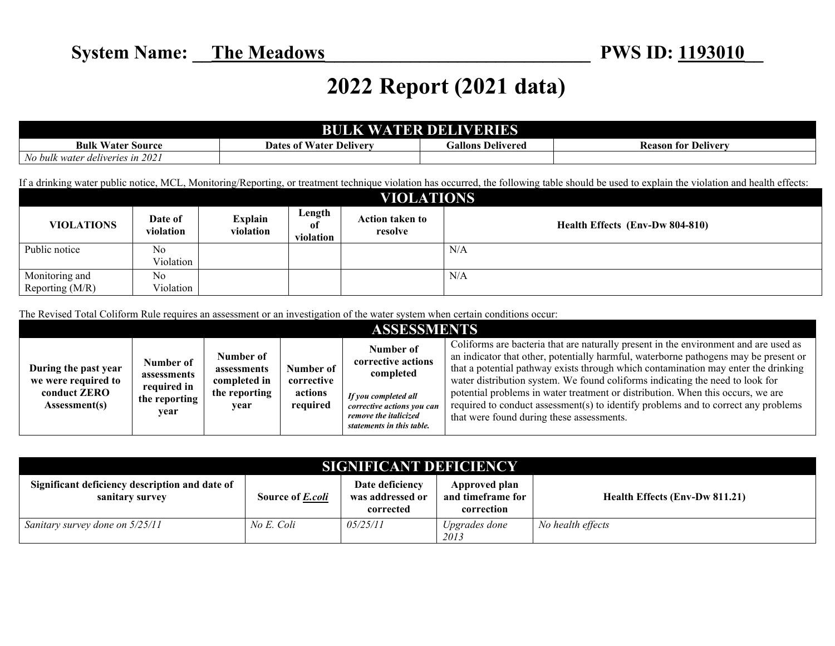## **2022 Report (2021 data)**

| <b>BULK WATER DELIVERIES</b>     |                                |                          |                            |  |  |  |  |
|----------------------------------|--------------------------------|--------------------------|----------------------------|--|--|--|--|
| <b>Bulk Water Source</b>         | <b>Dates of Water Delivery</b> | <b>Gallons Delivered</b> | <b>Reason for Delivery</b> |  |  |  |  |
| No bulk water deliveries in 2021 |                                |                          |                            |  |  |  |  |

If a drinking water public notice, MCL, Monitoring/Reporting, or treatment technique violation has occurred, the following table should be used to explain the violation and health effects:

| <b>VIOLATIONS</b> |                      |                             |                           |                            |                                 |  |  |  |
|-------------------|----------------------|-----------------------------|---------------------------|----------------------------|---------------------------------|--|--|--|
| <b>VIOLATIONS</b> | Date of<br>violation | <b>Explain</b><br>violation | Length<br>0t<br>violation | Action taken to<br>resolve | Health Effects (Env-Dw 804-810) |  |  |  |
| Public notice     | No                   |                             |                           |                            | N/A                             |  |  |  |
|                   | Violation            |                             |                           |                            |                                 |  |  |  |
| Monitoring and    | No.                  |                             |                           |                            | N/A                             |  |  |  |
| Reporting $(M/R)$ | Violation            |                             |                           |                            |                                 |  |  |  |

The Revised Total Coliform Rule requires an assessment or an investigation of the water system when certain conditions occur:

|                                                                                     |                                                                  |                                                                   |                                                | ASSESSMENTS                                                                                                                                              |                                                                                                                                                                                                                                                                                                                                                                                                                                                                                                                                                                           |
|-------------------------------------------------------------------------------------|------------------------------------------------------------------|-------------------------------------------------------------------|------------------------------------------------|----------------------------------------------------------------------------------------------------------------------------------------------------------|---------------------------------------------------------------------------------------------------------------------------------------------------------------------------------------------------------------------------------------------------------------------------------------------------------------------------------------------------------------------------------------------------------------------------------------------------------------------------------------------------------------------------------------------------------------------------|
| During the past year<br>we were required to<br>conduct <b>ZERO</b><br>Assessment(s) | Number of<br>assessments<br>required in<br>the reporting<br>vear | Number of<br>assessments<br>completed in<br>the reporting<br>vear | Number of<br>corrective<br>actions<br>required | Number of<br>corrective actions<br>completed<br>If you completed all<br>corrective actions you can<br>remove the italicized<br>statements in this table. | Coliforms are bacteria that are naturally present in the environment and are used as<br>an indicator that other, potentially harmful, waterborne pathogens may be present or<br>that a potential pathway exists through which contamination may enter the drinking<br>water distribution system. We found coliforms indicating the need to look for<br>potential problems in water treatment or distribution. When this occurs, we are<br>required to conduct assessment(s) to identify problems and to correct any problems<br>that were found during these assessments. |

| <b>SIGNIFICANT DEFICIENCY</b>                                     |                         |                                                  |                                                  |                                |  |  |  |
|-------------------------------------------------------------------|-------------------------|--------------------------------------------------|--------------------------------------------------|--------------------------------|--|--|--|
| Significant deficiency description and date of<br>sanitary survey | Source of <i>E.coli</i> | Date deficiency<br>was addressed or<br>corrected | Approved plan<br>and timeframe for<br>correction | Health Effects (Env-Dw 811.21) |  |  |  |
| Sanitary survey done on 5/25/11                                   | No E. Coli              | 05/25/11                                         | Upgrades done<br>2013                            | No health effects              |  |  |  |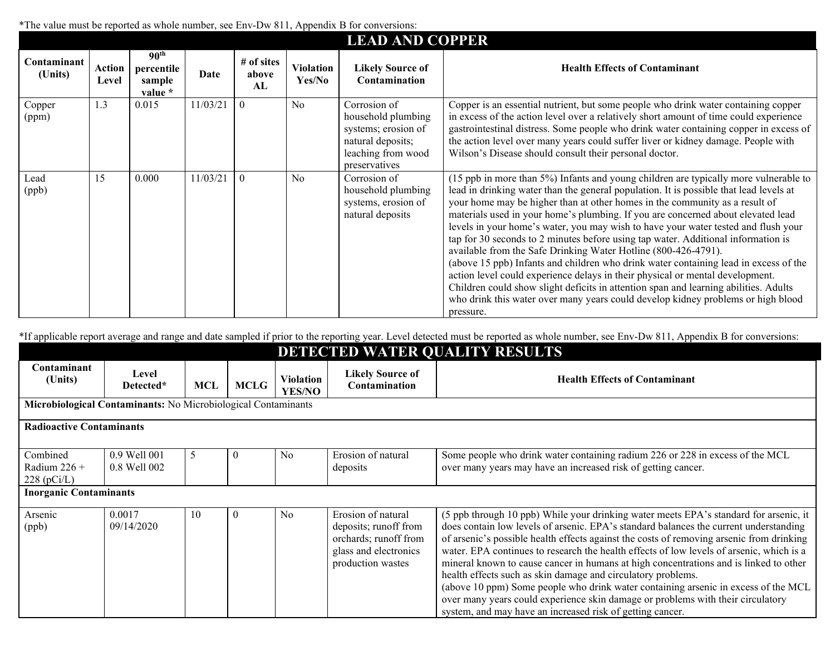\*The value must be reported as whole number, see Env-Dw 811, Appendix B for conversions:

|                        | The value must be reported as whole humber, see Emy D w 0.11, Teppendix D for conversions.<br><b>LEAD AND COPPER</b> |                                                     |          |                           |                     |                                                                                                                       |                                                                                                                                                                                                                                                                                                                                                                                                                                                                                                                                                                                                                                                                                                                                                                                                                                                                                                                                                                  |  |  |  |
|------------------------|----------------------------------------------------------------------------------------------------------------------|-----------------------------------------------------|----------|---------------------------|---------------------|-----------------------------------------------------------------------------------------------------------------------|------------------------------------------------------------------------------------------------------------------------------------------------------------------------------------------------------------------------------------------------------------------------------------------------------------------------------------------------------------------------------------------------------------------------------------------------------------------------------------------------------------------------------------------------------------------------------------------------------------------------------------------------------------------------------------------------------------------------------------------------------------------------------------------------------------------------------------------------------------------------------------------------------------------------------------------------------------------|--|--|--|
| Contaminant<br>(Units) | Action<br>Level                                                                                                      | 90 <sup>th</sup><br>percentile<br>sample<br>value * | Date     | # of sites<br>above<br>AL | Violation<br>Yes/No | <b>Likely Source of</b><br>Contamination                                                                              | <b>Health Effects of Contaminant</b>                                                                                                                                                                                                                                                                                                                                                                                                                                                                                                                                                                                                                                                                                                                                                                                                                                                                                                                             |  |  |  |
| Copper<br>(ppm)        | 1.3                                                                                                                  | 0.015                                               | 11/03/21 | $\theta$                  | No                  | Corrosion of<br>household plumbing<br>systems; erosion of<br>natural deposits;<br>leaching from wood<br>preservatives | Copper is an essential nutrient, but some people who drink water containing copper<br>in excess of the action level over a relatively short amount of time could experience<br>gastrointestinal distress. Some people who drink water containing copper in excess of<br>the action level over many years could suffer liver or kidney damage. People with<br>Wilson's Disease should consult their personal doctor.                                                                                                                                                                                                                                                                                                                                                                                                                                                                                                                                              |  |  |  |
| Lead<br>(ppb)          | 15                                                                                                                   | 0.000                                               | 11/03/21 | $\theta$                  | No                  | Corrosion of<br>household plumbing<br>systems, erosion of<br>natural deposits                                         | (15 ppb in more than 5%) Infants and young children are typically more vulnerable to<br>lead in drinking water than the general population. It is possible that lead levels at<br>your home may be higher than at other homes in the community as a result of<br>materials used in your home's plumbing. If you are concerned about elevated lead<br>levels in your home's water, you may wish to have your water tested and flush your<br>tap for 30 seconds to 2 minutes before using tap water. Additional information is<br>available from the Safe Drinking Water Hotline (800-426-4791).<br>(above 15 ppb) Infants and children who drink water containing lead in excess of the<br>action level could experience delays in their physical or mental development.<br>Children could show slight deficits in attention span and learning abilities. Adults<br>who drink this water over many years could develop kidney problems or high blood<br>pressure. |  |  |  |

\*If applicable report average and range and date sampled if prior to the reporting year. Level detected must be reported as whole number, see Env-Dw 811, Appendix B for conversions:

| DETECTED WATER QUALITY RESULTS                                |                              |     |             |                                   |                                                                                                                    |                                                                                                                                                                                                                                                                                                                                                                                                                                                                                                                                                                                                                                                                                                                                                                       |  |  |  |
|---------------------------------------------------------------|------------------------------|-----|-------------|-----------------------------------|--------------------------------------------------------------------------------------------------------------------|-----------------------------------------------------------------------------------------------------------------------------------------------------------------------------------------------------------------------------------------------------------------------------------------------------------------------------------------------------------------------------------------------------------------------------------------------------------------------------------------------------------------------------------------------------------------------------------------------------------------------------------------------------------------------------------------------------------------------------------------------------------------------|--|--|--|
| Contaminant<br>(Units)                                        | Level<br>Detected*           | MCL | <b>MCLG</b> | <b>Violation</b><br><b>YES/NO</b> | <b>Likely Source of</b><br>Contamination                                                                           | <b>Health Effects of Contaminant</b>                                                                                                                                                                                                                                                                                                                                                                                                                                                                                                                                                                                                                                                                                                                                  |  |  |  |
| Microbiological Contaminants: No Microbiological Contaminants |                              |     |             |                                   |                                                                                                                    |                                                                                                                                                                                                                                                                                                                                                                                                                                                                                                                                                                                                                                                                                                                                                                       |  |  |  |
| <b>Radioactive Contaminants</b>                               |                              |     |             |                                   |                                                                                                                    |                                                                                                                                                                                                                                                                                                                                                                                                                                                                                                                                                                                                                                                                                                                                                                       |  |  |  |
| Combined<br>Radium $226 +$<br>$228$ (pCi/L)                   | 0.9 Well 001<br>0.8 Well 002 | 5   | $\theta$    | N <sub>0</sub>                    | Erosion of natural<br>deposits                                                                                     | Some people who drink water containing radium 226 or 228 in excess of the MCL<br>over many years may have an increased risk of getting cancer.                                                                                                                                                                                                                                                                                                                                                                                                                                                                                                                                                                                                                        |  |  |  |
| <b>Inorganic Contaminants</b>                                 |                              |     |             |                                   |                                                                                                                    |                                                                                                                                                                                                                                                                                                                                                                                                                                                                                                                                                                                                                                                                                                                                                                       |  |  |  |
| Arsenic<br>(ppb)                                              | 0.0017<br>09/14/2020         | 10  | $\theta$    | N <sub>0</sub>                    | Erosion of natural<br>deposits; runoff from<br>orchards; runoff from<br>glass and electronics<br>production wastes | (5 ppb through 10 ppb) While your drinking water meets EPA's standard for arsenic, it<br>does contain low levels of arsenic. EPA's standard balances the current understanding<br>of arsenic's possible health effects against the costs of removing arsenic from drinking<br>water. EPA continues to research the health effects of low levels of arsenic, which is a<br>mineral known to cause cancer in humans at high concentrations and is linked to other<br>health effects such as skin damage and circulatory problems.<br>(above 10 ppm) Some people who drink water containing arsenic in excess of the MCL<br>over many years could experience skin damage or problems with their circulatory<br>system, and may have an increased risk of getting cancer. |  |  |  |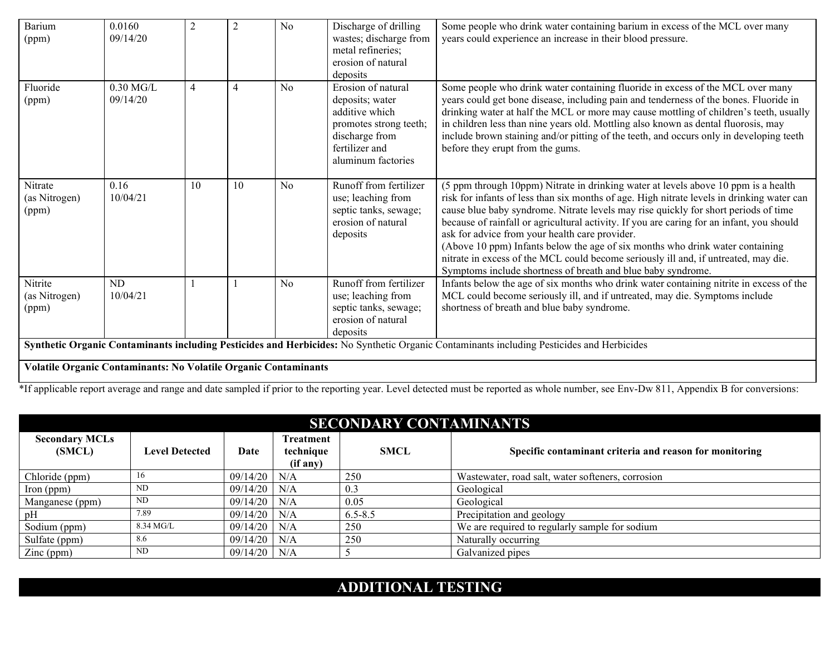| <b>Barium</b><br>(ppm)            | 0.0160<br>09/14/20                                                                                                                                                                                                  | 2              | $\overline{2}$ | No | Discharge of drilling<br>wastes; discharge from<br>metal refineries;<br>erosion of natural<br>deposits                                      | Some people who drink water containing barium in excess of the MCL over many<br>years could experience an increase in their blood pressure.                                                                                                                                                                                                                                                                                                                                                                                                                                                                                                                    |  |  |
|-----------------------------------|---------------------------------------------------------------------------------------------------------------------------------------------------------------------------------------------------------------------|----------------|----------------|----|---------------------------------------------------------------------------------------------------------------------------------------------|----------------------------------------------------------------------------------------------------------------------------------------------------------------------------------------------------------------------------------------------------------------------------------------------------------------------------------------------------------------------------------------------------------------------------------------------------------------------------------------------------------------------------------------------------------------------------------------------------------------------------------------------------------------|--|--|
| Fluoride<br>(ppm)                 | $0.30$ MG/L<br>09/14/20                                                                                                                                                                                             | $\overline{4}$ | 4              | No | Erosion of natural<br>deposits; water<br>additive which<br>promotes strong teeth;<br>discharge from<br>fertilizer and<br>aluminum factories | Some people who drink water containing fluoride in excess of the MCL over many<br>years could get bone disease, including pain and tenderness of the bones. Fluoride in<br>drinking water at half the MCL or more may cause mottling of children's teeth, usually<br>in children less than nine years old. Mottling also known as dental fluorosis, may<br>include brown staining and/or pitting of the teeth, and occurs only in developing teeth<br>before they erupt from the gums.                                                                                                                                                                         |  |  |
| Nitrate<br>(as Nitrogen)<br>(ppm) | 0.16<br>10/04/21                                                                                                                                                                                                    | 10             | 10             | No | Runoff from fertilizer<br>use; leaching from<br>septic tanks, sewage;<br>erosion of natural<br>deposits                                     | (5 ppm through 10ppm) Nitrate in drinking water at levels above 10 ppm is a health<br>risk for infants of less than six months of age. High nitrate levels in drinking water can<br>cause blue baby syndrome. Nitrate levels may rise quickly for short periods of time<br>because of rainfall or agricultural activity. If you are caring for an infant, you should<br>ask for advice from your health care provider.<br>(Above 10 ppm) Infants below the age of six months who drink water containing<br>nitrate in excess of the MCL could become seriously ill and, if untreated, may die.<br>Symptoms include shortness of breath and blue baby syndrome. |  |  |
| Nitrite<br>(as Nitrogen)<br>(ppm) | ND.<br>10/04/21                                                                                                                                                                                                     |                |                | No | Runoff from fertilizer<br>use; leaching from<br>septic tanks, sewage;<br>erosion of natural<br>deposits                                     | Infants below the age of six months who drink water containing nitrite in excess of the<br>MCL could become seriously ill, and if untreated, may die. Symptoms include<br>shortness of breath and blue baby syndrome.                                                                                                                                                                                                                                                                                                                                                                                                                                          |  |  |
|                                   | Synthetic Organic Contaminants including Pesticides and Herbicides: No Synthetic Organic Contaminants including Pesticides and Herbicides<br><b>Volatile Organic Contaminants: No Volatile Organic Contaminants</b> |                |                |    |                                                                                                                                             |                                                                                                                                                                                                                                                                                                                                                                                                                                                                                                                                                                                                                                                                |  |  |

<sup>\*</sup>If applicable report average and range and date sampled if prior to the reporting year. Level detected must be reported as whole number, see Env-Dw 811, Appendix B for conversions:

| <b>SECONDARY CONTAMINANTS</b>   |                       |                |                                    |             |                                                         |  |  |  |
|---------------------------------|-----------------------|----------------|------------------------------------|-------------|---------------------------------------------------------|--|--|--|
| <b>Secondary MCLs</b><br>(SMCL) | <b>Level Detected</b> | Date           | Treatment<br>technique<br>(if any) | <b>SMCL</b> | Specific contaminant criteria and reason for monitoring |  |  |  |
| Chloride (ppm)                  | 16                    | $09/14/20$ N/A |                                    | 250         | Wastewater, road salt, water softeners, corrosion       |  |  |  |
| $\gamma$ (ppm)                  | ND                    | $09/14/20$ N/A |                                    | 0.3         | Geological                                              |  |  |  |
| Manganese (ppm)                 | ND                    | $09/14/20$ N/A |                                    | 0.05        | Geological                                              |  |  |  |
| pH                              | 7.89                  | $09/14/20$ N/A |                                    | $6.5 - 8.5$ | Precipitation and geology                               |  |  |  |
| Sodium (ppm)                    | 8.34 MG/L             | $09/14/20$ N/A |                                    | 250         | We are required to regularly sample for sodium          |  |  |  |
| Sulfate (ppm)                   | 8.6                   | $09/14/20$ N/A |                                    | 250         | Naturally occurring                                     |  |  |  |
| $\text{Zinc (ppm)}$             | ND                    | $09/14/20$ N/A |                                    |             | Galvanized pipes                                        |  |  |  |

## **ADDITIONAL TESTING**